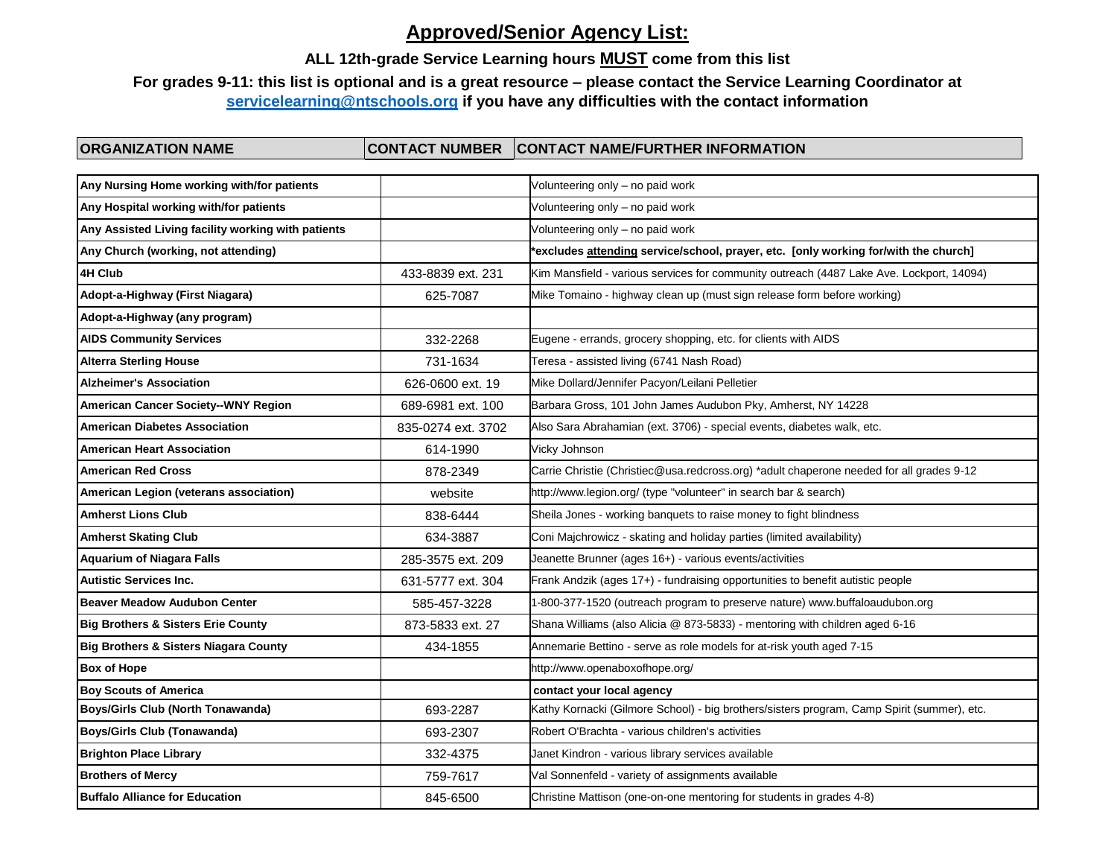## **ALL 12th-grade Service Learning hours MUST come from this list**

## **For grades 9-11: this list is optional and is a great resource – please contact the Service Learning Coordinator at [servicelearning@ntschools.org](mailto:servicelearning@ntschools.org) if you have any difficulties with the contact information**

| Any Nursing Home working with/for patients         |                    | Volunteering only - no paid work                                                           |
|----------------------------------------------------|--------------------|--------------------------------------------------------------------------------------------|
| Any Hospital working with/for patients             |                    | Volunteering only - no paid work                                                           |
| Any Assisted Living facility working with patients |                    | Volunteering only - no paid work                                                           |
| Any Church (working, not attending)                |                    | *excludes attending service/school, prayer, etc. [only working for/with the church]        |
| 4H Club                                            | 433-8839 ext. 231  | Kim Mansfield - various services for community outreach (4487 Lake Ave. Lockport, 14094)   |
| Adopt-a-Highway (First Niagara)                    | 625-7087           | Mike Tomaino - highway clean up (must sign release form before working)                    |
| Adopt-a-Highway (any program)                      |                    |                                                                                            |
| <b>AIDS Community Services</b>                     | 332-2268           | Eugene - errands, grocery shopping, etc. for clients with AIDS                             |
| <b>Alterra Sterling House</b>                      | 731-1634           | Teresa - assisted living (6741 Nash Road)                                                  |
| <b>Alzheimer's Association</b>                     | 626-0600 ext. 19   | Mike Dollard/Jennifer Pacyon/Leilani Pelletier                                             |
| American Cancer Society--WNY Region                | 689-6981 ext. 100  | Barbara Gross, 101 John James Audubon Pky, Amherst, NY 14228                               |
| <b>American Diabetes Association</b>               | 835-0274 ext. 3702 | Also Sara Abrahamian (ext. 3706) - special events, diabetes walk, etc.                     |
| <b>American Heart Association</b>                  | 614-1990           | Vicky Johnson                                                                              |
| <b>American Red Cross</b>                          | 878-2349           | Carrie Christie (Christiec@usa.redcross.org) *adult chaperone needed for all grades 9-12   |
| American Legion (veterans association)             | website            | http://www.legion.org/ (type "volunteer" in search bar & search)                           |
| <b>Amherst Lions Club</b>                          | 838-6444           | Sheila Jones - working banquets to raise money to fight blindness                          |
| <b>Amherst Skating Club</b>                        | 634-3887           | Coni Majchrowicz - skating and holiday parties (limited availability)                      |
| <b>Aquarium of Niagara Falls</b>                   | 285-3575 ext. 209  | Jeanette Brunner (ages 16+) - various events/activities                                    |
| <b>Autistic Services Inc.</b>                      | 631-5777 ext. 304  | Frank Andzik (ages 17+) - fundraising opportunities to benefit autistic people             |
| <b>Beaver Meadow Audubon Center</b>                | 585-457-3228       | 1-800-377-1520 (outreach program to preserve nature) www.buffaloaudubon.org                |
| <b>Big Brothers &amp; Sisters Erie County</b>      | 873-5833 ext. 27   | Shana Williams (also Alicia @ 873-5833) - mentoring with children aged 6-16                |
| <b>Big Brothers &amp; Sisters Niagara County</b>   | 434-1855           | Annemarie Bettino - serve as role models for at-risk youth aged 7-15                       |
| <b>Box of Hope</b>                                 |                    | http://www.openaboxofhope.org/                                                             |
| <b>Boy Scouts of America</b>                       |                    | contact your local agency                                                                  |
| <b>Boys/Girls Club (North Tonawanda)</b>           | 693-2287           | Kathy Kornacki (Gilmore School) - big brothers/sisters program, Camp Spirit (summer), etc. |
| <b>Boys/Girls Club (Tonawanda)</b>                 | 693-2307           | Robert O'Brachta - various children's activities                                           |
| <b>Brighton Place Library</b>                      | 332-4375           | Janet Kindron - various library services available                                         |
| <b>Brothers of Mercy</b>                           | 759-7617           | Val Sonnenfeld - variety of assignments available                                          |
| <b>Buffalo Alliance for Education</b>              | 845-6500           | Christine Mattison (one-on-one mentoring for students in grades 4-8)                       |
|                                                    |                    |                                                                                            |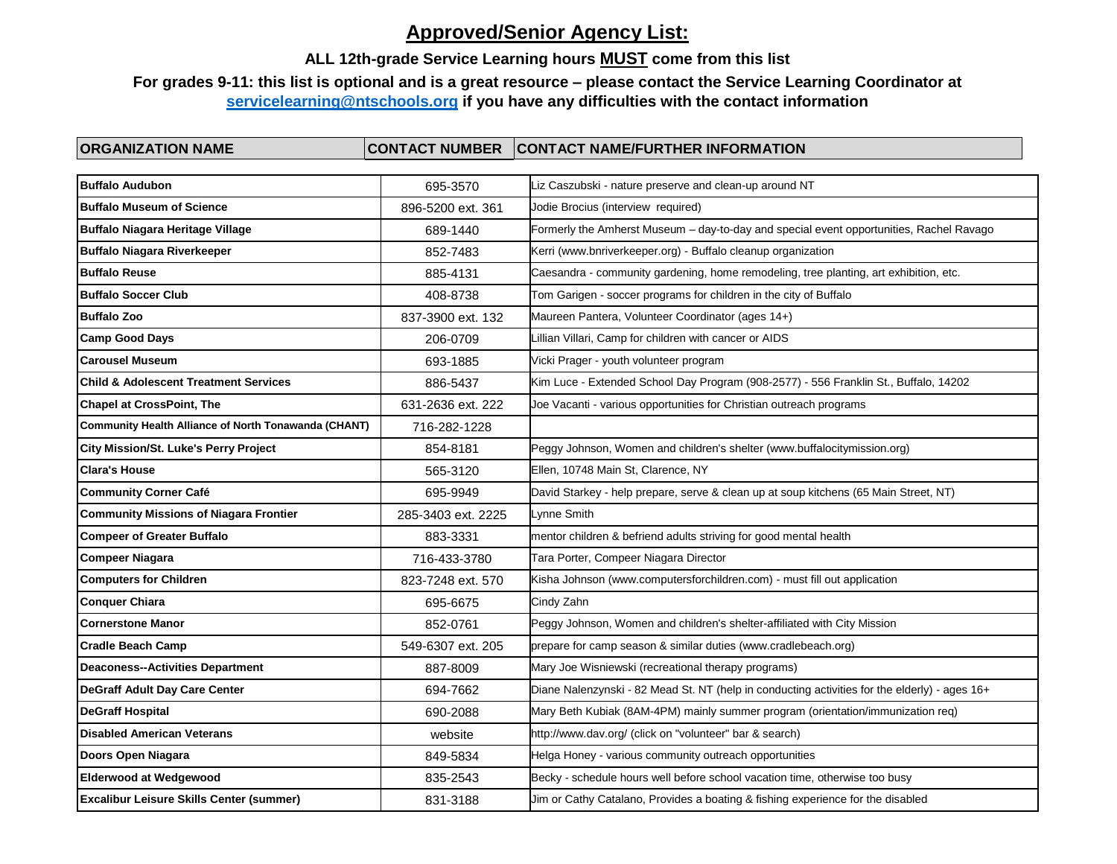## **ALL 12th-grade Service Learning hours MUST come from this list**

## **For grades 9-11: this list is optional and is a great resource – please contact the Service Learning Coordinator at [servicelearning@ntschools.org](mailto:servicelearning@ntschools.org) if you have any difficulties with the contact information**

| <b>Buffalo Audubon</b>                                      | 695-3570           | Liz Caszubski - nature preserve and clean-up around NT                                        |
|-------------------------------------------------------------|--------------------|-----------------------------------------------------------------------------------------------|
| <b>Buffalo Museum of Science</b>                            | 896-5200 ext. 361  | Jodie Brocius (interview required)                                                            |
| <b>Buffalo Niagara Heritage Village</b>                     | 689-1440           | Formerly the Amherst Museum - day-to-day and special event opportunities, Rachel Ravago       |
| <b>Buffalo Niagara Riverkeeper</b>                          | 852-7483           | Kerri (www.bnriverkeeper.org) - Buffalo cleanup organization                                  |
| <b>Buffalo Reuse</b>                                        | 885-4131           | Caesandra - community gardening, home remodeling, tree planting, art exhibition, etc.         |
| <b>Buffalo Soccer Club</b>                                  | 408-8738           | Tom Garigen - soccer programs for children in the city of Buffalo                             |
| <b>Buffalo Zoo</b>                                          | 837-3900 ext. 132  | Maureen Pantera, Volunteer Coordinator (ages 14+)                                             |
| <b>Camp Good Days</b>                                       | 206-0709           | Lillian Villari, Camp for children with cancer or AIDS                                        |
| <b>Carousel Museum</b>                                      | 693-1885           | Vicki Prager - youth volunteer program                                                        |
| <b>Child &amp; Adolescent Treatment Services</b>            | 886-5437           | Kim Luce - Extended School Day Program (908-2577) - 556 Franklin St., Buffalo, 14202          |
| <b>Chapel at CrossPoint, The</b>                            | 631-2636 ext. 222  | Joe Vacanti - various opportunities for Christian outreach programs                           |
| <b>Community Health Alliance of North Tonawanda (CHANT)</b> | 716-282-1228       |                                                                                               |
| <b>City Mission/St. Luke's Perry Project</b>                | 854-8181           | Peggy Johnson, Women and children's shelter (www.buffalocitymission.org)                      |
| <b>Clara's House</b>                                        | 565-3120           | Ellen, 10748 Main St, Clarence, NY                                                            |
| <b>Community Corner Café</b>                                | 695-9949           | David Starkey - help prepare, serve & clean up at soup kitchens (65 Main Street, NT)          |
| <b>Community Missions of Niagara Frontier</b>               | 285-3403 ext. 2225 | Lynne Smith                                                                                   |
| <b>Compeer of Greater Buffalo</b>                           | 883-3331           | mentor children & befriend adults striving for good mental health                             |
| <b>Compeer Niagara</b>                                      | 716-433-3780       | Tara Porter, Compeer Niagara Director                                                         |
| <b>Computers for Children</b>                               | 823-7248 ext. 570  | Kisha Johnson (www.computersforchildren.com) - must fill out application                      |
| <b>Conquer Chiara</b>                                       | 695-6675           | Cindy Zahn                                                                                    |
| <b>Cornerstone Manor</b>                                    | 852-0761           | Peggy Johnson, Women and children's shelter-affiliated with City Mission                      |
| <b>Cradle Beach Camp</b>                                    | 549-6307 ext. 205  | prepare for camp season & similar duties (www.cradlebeach.org)                                |
| <b>Deaconess--Activities Department</b>                     | 887-8009           | Mary Joe Wisniewski (recreational therapy programs)                                           |
| <b>DeGraff Adult Day Care Center</b>                        | 694-7662           | Diane Nalenzynski - 82 Mead St. NT (help in conducting activities for the elderly) - ages 16+ |
| <b>DeGraff Hospital</b>                                     | 690-2088           | Mary Beth Kubiak (8AM-4PM) mainly summer program (orientation/immunization req)               |
| <b>Disabled American Veterans</b>                           | website            | http://www.dav.org/ (click on "volunteer" bar & search)                                       |
| Doors Open Niagara                                          | 849-5834           | Helga Honey - various community outreach opportunities                                        |
| <b>Elderwood at Wedgewood</b>                               | 835-2543           | Becky - schedule hours well before school vacation time, otherwise too busy                   |
| <b>Excalibur Leisure Skills Center (summer)</b>             | 831-3188           | Jim or Cathy Catalano, Provides a boating & fishing experience for the disabled               |
|                                                             |                    |                                                                                               |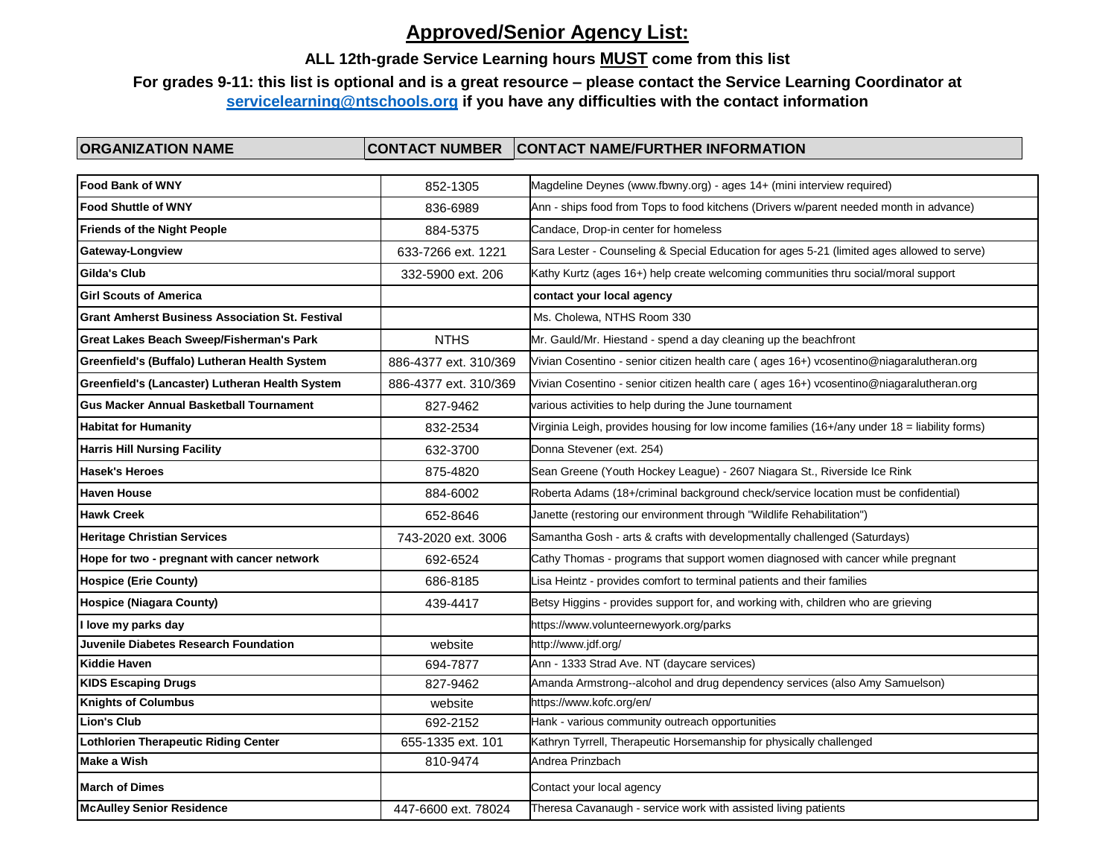## **ALL 12th-grade Service Learning hours MUST come from this list**

## **For grades 9-11: this list is optional and is a great resource – please contact the Service Learning Coordinator at [servicelearning@ntschools.org](mailto:servicelearning@ntschools.org) if you have any difficulties with the contact information**

| <b>Food Bank of WNY</b>                                | 852-1305              | Magdeline Deynes (www.fbwny.org) - ages 14+ (mini interview required)                         |
|--------------------------------------------------------|-----------------------|-----------------------------------------------------------------------------------------------|
| <b>Food Shuttle of WNY</b>                             | 836-6989              | Ann - ships food from Tops to food kitchens (Drivers w/parent needed month in advance)        |
| <b>Friends of the Night People</b>                     | 884-5375              | Candace, Drop-in center for homeless                                                          |
| <b>Gateway-Longview</b>                                | 633-7266 ext. 1221    | Sara Lester - Counseling & Special Education for ages 5-21 (limited ages allowed to serve)    |
| <b>Gilda's Club</b>                                    | 332-5900 ext. 206     | Kathy Kurtz (ages 16+) help create welcoming communities thru social/moral support            |
| <b>Girl Scouts of America</b>                          |                       | contact your local agency                                                                     |
| <b>Grant Amherst Business Association St. Festival</b> |                       | Ms. Cholewa, NTHS Room 330                                                                    |
| <b>Great Lakes Beach Sweep/Fisherman's Park</b>        | <b>NTHS</b>           | Mr. Gauld/Mr. Hiestand - spend a day cleaning up the beachfront                               |
| Greenfield's (Buffalo) Lutheran Health System          | 886-4377 ext. 310/369 | Vivian Cosentino - senior citizen health care (ages 16+) vcosentino@niagaralutheran.org       |
| Greenfield's (Lancaster) Lutheran Health System        | 886-4377 ext. 310/369 | Vivian Cosentino - senior citizen health care (ages 16+) vcosentino@niagaralutheran.org       |
| <b>Gus Macker Annual Basketball Tournament</b>         | 827-9462              | various activities to help during the June tournament                                         |
| <b>Habitat for Humanity</b>                            | 832-2534              | Virginia Leigh, provides housing for low income families (16+/any under 18 = liability forms) |
| <b>Harris Hill Nursing Facility</b>                    | 632-3700              | Donna Stevener (ext. 254)                                                                     |
| <b>Hasek's Heroes</b>                                  | 875-4820              | Sean Greene (Youth Hockey League) - 2607 Niagara St., Riverside Ice Rink                      |
| <b>Haven House</b>                                     | 884-6002              | Roberta Adams (18+/criminal background check/service location must be confidential)           |
| <b>Hawk Creek</b>                                      | 652-8646              | Janette (restoring our environment through "Wildlife Rehabilitation")                         |
| <b>Heritage Christian Services</b>                     | 743-2020 ext. 3006    | Samantha Gosh - arts & crafts with developmentally challenged (Saturdays)                     |
| Hope for two - pregnant with cancer network            | 692-6524              | Cathy Thomas - programs that support women diagnosed with cancer while pregnant               |
| <b>Hospice (Erie County)</b>                           | 686-8185              | Lisa Heintz - provides comfort to terminal patients and their families                        |
| <b>Hospice (Niagara County)</b>                        | 439-4417              | Betsy Higgins - provides support for, and working with, children who are grieving             |
| I love my parks day                                    |                       | https://www.volunteernewyork.org/parks                                                        |
| Juvenile Diabetes Research Foundation                  | website               | http://www.jdf.org/                                                                           |
| <b>Kiddie Haven</b>                                    | 694-7877              | Ann - 1333 Strad Ave. NT (daycare services)                                                   |
| <b>KIDS Escaping Drugs</b>                             | 827-9462              | Amanda Armstrong--alcohol and drug dependency services (also Amy Samuelson)                   |
| <b>Knights of Columbus</b>                             | website               | https://www.kofc.org/en/                                                                      |
| <b>Lion's Club</b>                                     | 692-2152              | Hank - various community outreach opportunities                                               |
| <b>Lothlorien Therapeutic Riding Center</b>            | 655-1335 ext. 101     | Kathryn Tyrrell, Therapeutic Horsemanship for physically challenged                           |
| Make a Wish                                            | 810-9474              | Andrea Prinzbach                                                                              |
| <b>March of Dimes</b>                                  |                       | Contact your local agency                                                                     |
| <b>McAulley Senior Residence</b>                       | 447-6600 ext. 78024   | Theresa Cavanaugh - service work with assisted living patients                                |
|                                                        |                       |                                                                                               |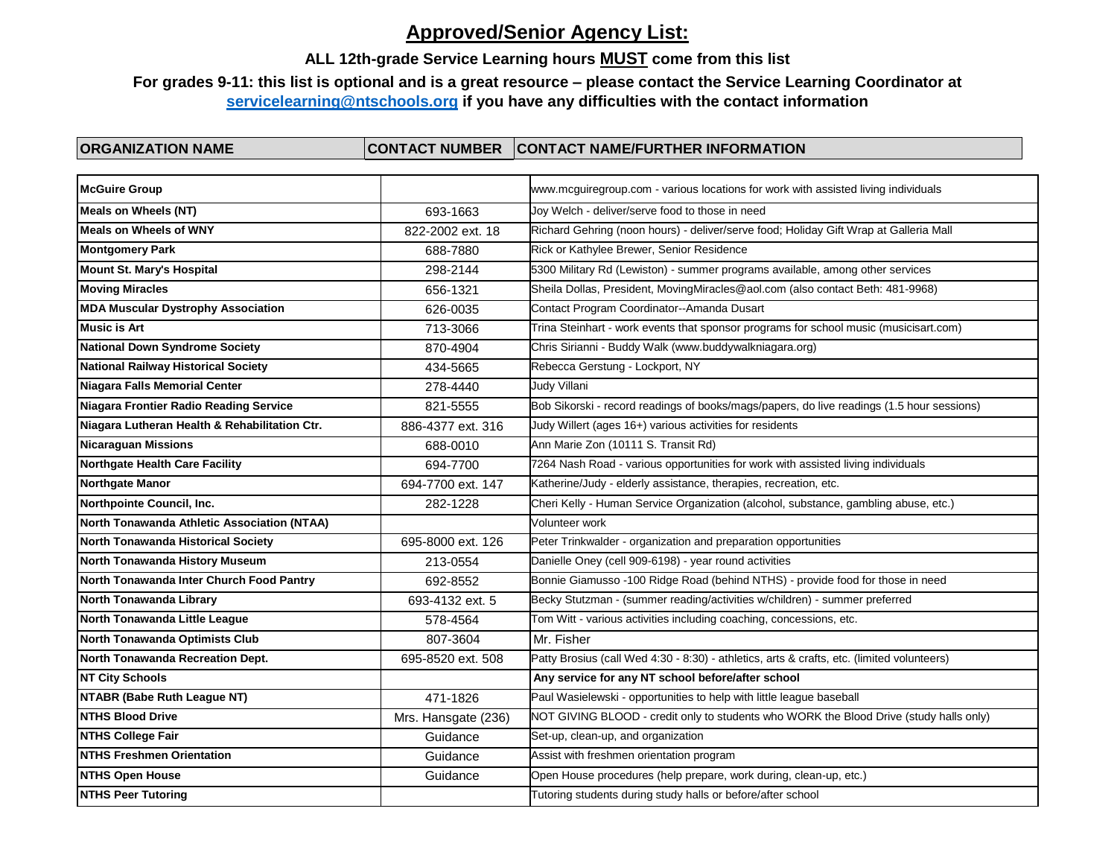### **ALL 12th-grade Service Learning hours MUST come from this list**

## **For grades 9-11: this list is optional and is a great resource – please contact the Service Learning Coordinator at [servicelearning@ntschools.org](mailto:servicelearning@ntschools.org) if you have any difficulties with the contact information**

| <b>McGuire Group</b>                          |                     | www.mcguiregroup.com - various locations for work with assisted living individuals         |
|-----------------------------------------------|---------------------|--------------------------------------------------------------------------------------------|
| Meals on Wheels (NT)                          | 693-1663            | Joy Welch - deliver/serve food to those in need                                            |
| <b>Meals on Wheels of WNY</b>                 | 822-2002 ext. 18    | Richard Gehring (noon hours) - deliver/serve food; Holiday Gift Wrap at Galleria Mall      |
| <b>Montgomery Park</b>                        | 688-7880            | Rick or Kathylee Brewer, Senior Residence                                                  |
| <b>Mount St. Mary's Hospital</b>              | 298-2144            | 5300 Military Rd (Lewiston) - summer programs available, among other services              |
| <b>Moving Miracles</b>                        | 656-1321            | Sheila Dollas, President, MovingMiracles@aol.com (also contact Beth: 481-9968)             |
| <b>MDA Muscular Dystrophy Association</b>     | 626-0035            | Contact Program Coordinator--Amanda Dusart                                                 |
| <b>Music is Art</b>                           | 713-3066            | Trina Steinhart - work events that sponsor programs for school music (musicisart.com)      |
| <b>National Down Syndrome Society</b>         | 870-4904            | Chris Sirianni - Buddy Walk (www.buddywalkniagara.org)                                     |
| <b>National Railway Historical Society</b>    | 434-5665            | Rebecca Gerstung - Lockport, NY                                                            |
| Niagara Falls Memorial Center                 | 278-4440            | Judy Villani                                                                               |
| <b>Niagara Frontier Radio Reading Service</b> | 821-5555            | Bob Sikorski - record readings of books/mags/papers, do live readings (1.5 hour sessions)  |
| Niagara Lutheran Health & Rehabilitation Ctr. | 886-4377 ext. 316   | Judy Willert (ages 16+) various activities for residents                                   |
| <b>Nicaraguan Missions</b>                    | 688-0010            | Ann Marie Zon (10111 S. Transit Rd)                                                        |
| <b>Northgate Health Care Facility</b>         | 694-7700            | 7264 Nash Road - various opportunities for work with assisted living individuals           |
| <b>Northgate Manor</b>                        | 694-7700 ext. 147   | Katherine/Judy - elderly assistance, therapies, recreation, etc.                           |
| Northpointe Council, Inc.                     | 282-1228            | Cheri Kelly - Human Service Organization (alcohol, substance, gambling abuse, etc.)        |
| North Tonawanda Athletic Association (NTAA)   |                     | Volunteer work                                                                             |
| North Tonawanda Historical Society            | 695-8000 ext. 126   | Peter Trinkwalder - organization and preparation opportunities                             |
| North Tonawanda History Museum                | 213-0554            | Danielle Oney (cell 909-6198) - year round activities                                      |
| North Tonawanda Inter Church Food Pantry      | 692-8552            | Bonnie Giamusso -100 Ridge Road (behind NTHS) - provide food for those in need             |
| North Tonawanda Library                       | 693-4132 ext. 5     | Becky Stutzman - (summer reading/activities w/children) - summer preferred                 |
| North Tonawanda Little League                 | 578-4564            | Tom Witt - various activities including coaching, concessions, etc.                        |
| North Tonawanda Optimists Club                | 807-3604            | Mr. Fisher                                                                                 |
| North Tonawanda Recreation Dept.              | 695-8520 ext. 508   | Patty Brosius (call Wed 4:30 - 8:30) - athletics, arts & crafts, etc. (limited volunteers) |
| <b>NT City Schools</b>                        |                     | Any service for any NT school before/after school                                          |
| NTABR (Babe Ruth League NT)                   | 471-1826            | Paul Wasielewski - opportunities to help with little league baseball                       |
| <b>NTHS Blood Drive</b>                       | Mrs. Hansgate (236) | NOT GIVING BLOOD - credit only to students who WORK the Blood Drive (study halls only)     |
| <b>NTHS College Fair</b>                      | Guidance            | Set-up, clean-up, and organization                                                         |
| <b>NTHS Freshmen Orientation</b>              | Guidance            | Assist with freshmen orientation program                                                   |
| <b>NTHS Open House</b>                        | Guidance            | Open House procedures (help prepare, work during, clean-up, etc.)                          |
| <b>NTHS Peer Tutoring</b>                     |                     | Tutoring students during study halls or before/after school                                |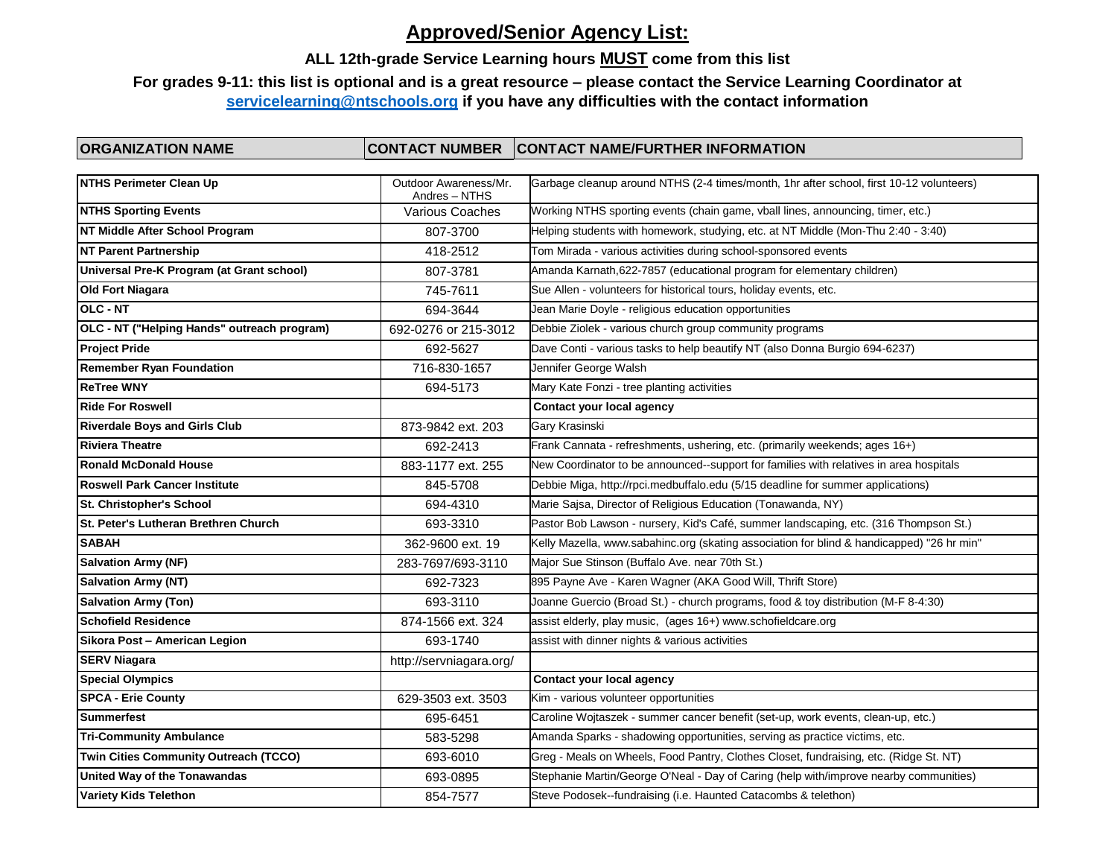### **ALL 12th-grade Service Learning hours MUST come from this list**

## **For grades 9-11: this list is optional and is a great resource – please contact the Service Learning Coordinator at [servicelearning@ntschools.org](mailto:servicelearning@ntschools.org) if you have any difficulties with the contact information**

| <b>NTHS Perimeter Clean Up</b>              | Outdoor Awareness/Mr.<br>Andres - NTHS | Garbage cleanup around NTHS (2-4 times/month, 1hr after school, first 10-12 volunteers)   |
|---------------------------------------------|----------------------------------------|-------------------------------------------------------------------------------------------|
| <b>NTHS Sporting Events</b>                 | Various Coaches                        | Working NTHS sporting events (chain game, vball lines, announcing, timer, etc.)           |
| NT Middle After School Program              | 807-3700                               | Helping students with homework, studying, etc. at NT Middle (Mon-Thu 2:40 - 3:40)         |
| <b>NT Parent Partnership</b>                | 418-2512                               | Tom Mirada - various activities during school-sponsored events                            |
| Universal Pre-K Program (at Grant school)   | 807-3781                               | Amanda Karnath, 622-7857 (educational program for elementary children)                    |
| <b>Old Fort Niagara</b>                     | 745-7611                               | Sue Allen - volunteers for historical tours, holiday events, etc.                         |
| OLC - NT                                    | 694-3644                               | Jean Marie Doyle - religious education opportunities                                      |
| OLC - NT ("Helping Hands" outreach program) | 692-0276 or 215-3012                   | Debbie Ziolek - various church group community programs                                   |
| <b>Project Pride</b>                        | 692-5627                               | Dave Conti - various tasks to help beautify NT (also Donna Burgio 694-6237)               |
| <b>Remember Ryan Foundation</b>             | 716-830-1657                           | Jennifer George Walsh                                                                     |
| <b>ReTree WNY</b>                           | 694-5173                               | Mary Kate Fonzi - tree planting activities                                                |
| <b>Ride For Roswell</b>                     |                                        | Contact your local agency                                                                 |
| <b>Riverdale Boys and Girls Club</b>        | 873-9842 ext. 203                      | Gary Krasinski                                                                            |
| <b>Riviera Theatre</b>                      | 692-2413                               | Frank Cannata - refreshments, ushering, etc. (primarily weekends; ages 16+)               |
| <b>Ronald McDonald House</b>                | 883-1177 ext. 255                      | New Coordinator to be announced--support for families with relatives in area hospitals    |
| <b>Roswell Park Cancer Institute</b>        | 845-5708                               | Debbie Miga, http://rpci.medbuffalo.edu (5/15 deadline for summer applications)           |
| St. Christopher's School                    | 694-4310                               | Marie Sajsa, Director of Religious Education (Tonawanda, NY)                              |
| St. Peter's Lutheran Brethren Church        | 693-3310                               | Pastor Bob Lawson - nursery, Kid's Café, summer landscaping, etc. (316 Thompson St.)      |
| <b>SABAH</b>                                | 362-9600 ext. 19                       | Kelly Mazella, www.sabahinc.org (skating association for blind & handicapped) "26 hr min" |
| <b>Salvation Army (NF)</b>                  | 283-7697/693-3110                      | Major Sue Stinson (Buffalo Ave. near 70th St.)                                            |
| <b>Salvation Army (NT)</b>                  | 692-7323                               | 895 Payne Ave - Karen Wagner (AKA Good Will, Thrift Store)                                |
| <b>Salvation Army (Ton)</b>                 | 693-3110                               | Joanne Guercio (Broad St.) - church programs, food & toy distribution (M-F 8-4:30)        |
| <b>Schofield Residence</b>                  | 874-1566 ext. 324                      | assist elderly, play music, (ages 16+) www.schofieldcare.org                              |
| Sikora Post - American Legion               | 693-1740                               | assist with dinner nights & various activities                                            |
| <b>SERV Niagara</b>                         | http://servniagara.org/                |                                                                                           |
| <b>Special Olympics</b>                     |                                        | Contact your local agency                                                                 |
| <b>SPCA - Erie County</b>                   | 629-3503 ext. 3503                     | Kim - various volunteer opportunities                                                     |
| <b>Summerfest</b>                           | 695-6451                               | Caroline Wojtaszek - summer cancer benefit (set-up, work events, clean-up, etc.)          |
| <b>Tri-Community Ambulance</b>              | 583-5298                               | Amanda Sparks - shadowing opportunities, serving as practice victims, etc.                |
| Twin Cities Community Outreach (TCCO)       | 693-6010                               | Greg - Meals on Wheels, Food Pantry, Clothes Closet, fundraising, etc. (Ridge St. NT)     |
| United Way of the Tonawandas                | 693-0895                               | Stephanie Martin/George O'Neal - Day of Caring (help with/improve nearby communities)     |
| <b>Variety Kids Telethon</b>                | 854-7577                               | Steve Podosek--fundraising (i.e. Haunted Catacombs & telethon)                            |